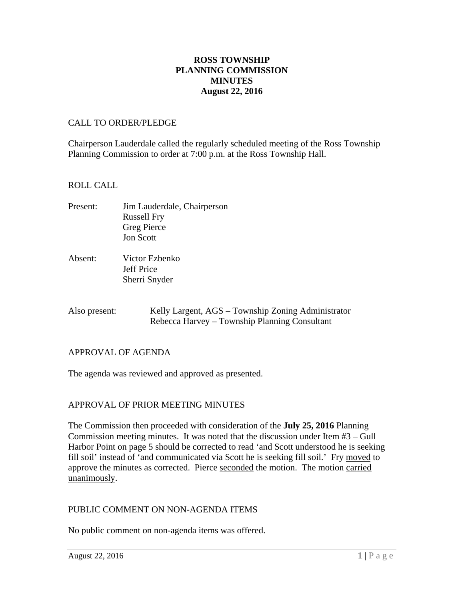# **ROSS TOWNSHIP PLANNING COMMISSION MINUTES August 22, 2016**

#### CALL TO ORDER/PLEDGE

Chairperson Lauderdale called the regularly scheduled meeting of the Ross Township Planning Commission to order at 7:00 p.m. at the Ross Township Hall.

### ROLL CALL

- Present: Jim Lauderdale, Chairperson Russell Fry Greg Pierce Jon Scott
- Absent: Victor Ezbenko Jeff Price Sherri Snyder
- Also present: Kelly Largent, AGS Township Zoning Administrator Rebecca Harvey – Township Planning Consultant

# APPROVAL OF AGENDA

The agenda was reviewed and approved as presented.

# APPROVAL OF PRIOR MEETING MINUTES

The Commission then proceeded with consideration of the **July 25, 2016** Planning Commission meeting minutes. It was noted that the discussion under Item #3 – Gull Harbor Point on page 5 should be corrected to read 'and Scott understood he is seeking fill soil' instead of 'and communicated via Scott he is seeking fill soil.' Fry moved to approve the minutes as corrected. Pierce seconded the motion. The motion carried unanimously.

#### PUBLIC COMMENT ON NON-AGENDA ITEMS

No public comment on non-agenda items was offered.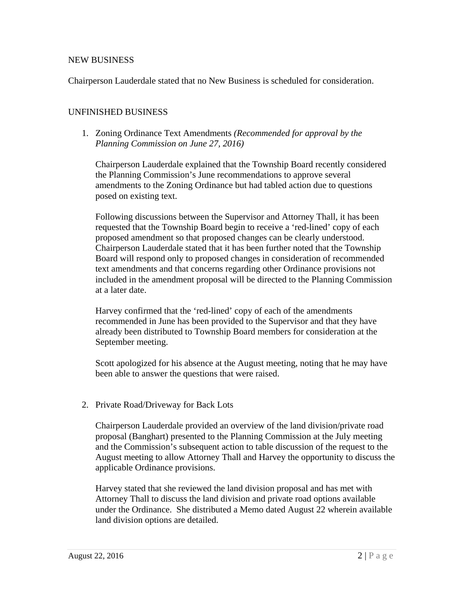### NEW BUSINESS

Chairperson Lauderdale stated that no New Business is scheduled for consideration.

### UNFINISHED BUSINESS

1. Zoning Ordinance Text Amendments *(Recommended for approval by the Planning Commission on June 27, 2016)*

Chairperson Lauderdale explained that the Township Board recently considered the Planning Commission's June recommendations to approve several amendments to the Zoning Ordinance but had tabled action due to questions posed on existing text.

Following discussions between the Supervisor and Attorney Thall, it has been requested that the Township Board begin to receive a 'red-lined' copy of each proposed amendment so that proposed changes can be clearly understood. Chairperson Lauderdale stated that it has been further noted that the Township Board will respond only to proposed changes in consideration of recommended text amendments and that concerns regarding other Ordinance provisions not included in the amendment proposal will be directed to the Planning Commission at a later date.

Harvey confirmed that the 'red-lined' copy of each of the amendments recommended in June has been provided to the Supervisor and that they have already been distributed to Township Board members for consideration at the September meeting.

Scott apologized for his absence at the August meeting, noting that he may have been able to answer the questions that were raised.

2. Private Road/Driveway for Back Lots

Chairperson Lauderdale provided an overview of the land division/private road proposal (Banghart) presented to the Planning Commission at the July meeting and the Commission's subsequent action to table discussion of the request to the August meeting to allow Attorney Thall and Harvey the opportunity to discuss the applicable Ordinance provisions.

Harvey stated that she reviewed the land division proposal and has met with Attorney Thall to discuss the land division and private road options available under the Ordinance. She distributed a Memo dated August 22 wherein available land division options are detailed.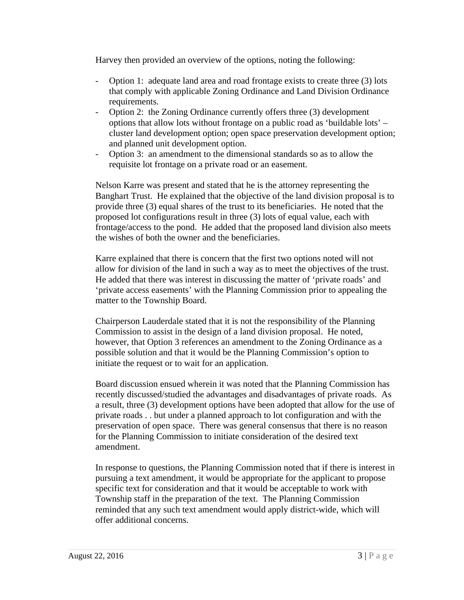Harvey then provided an overview of the options, noting the following:

- Option 1: adequate land area and road frontage exists to create three (3) lots that comply with applicable Zoning Ordinance and Land Division Ordinance requirements.
- Option 2: the Zoning Ordinance currently offers three (3) development options that allow lots without frontage on a public road as 'buildable lots' – cluster land development option; open space preservation development option; and planned unit development option.
- Option 3: an amendment to the dimensional standards so as to allow the requisite lot frontage on a private road or an easement.

Nelson Karre was present and stated that he is the attorney representing the Banghart Trust. He explained that the objective of the land division proposal is to provide three (3) equal shares of the trust to its beneficiaries. He noted that the proposed lot configurations result in three (3) lots of equal value, each with frontage/access to the pond. He added that the proposed land division also meets the wishes of both the owner and the beneficiaries.

Karre explained that there is concern that the first two options noted will not allow for division of the land in such a way as to meet the objectives of the trust. He added that there was interest in discussing the matter of 'private roads' and 'private access easements' with the Planning Commission prior to appealing the matter to the Township Board.

Chairperson Lauderdale stated that it is not the responsibility of the Planning Commission to assist in the design of a land division proposal. He noted, however, that Option 3 references an amendment to the Zoning Ordinance as a possible solution and that it would be the Planning Commission's option to initiate the request or to wait for an application.

Board discussion ensued wherein it was noted that the Planning Commission has recently discussed/studied the advantages and disadvantages of private roads. As a result, three (3) development options have been adopted that allow for the use of private roads . . but under a planned approach to lot configuration and with the preservation of open space. There was general consensus that there is no reason for the Planning Commission to initiate consideration of the desired text amendment.

In response to questions, the Planning Commission noted that if there is interest in pursuing a text amendment, it would be appropriate for the applicant to propose specific text for consideration and that it would be acceptable to work with Township staff in the preparation of the text. The Planning Commission reminded that any such text amendment would apply district-wide, which will offer additional concerns.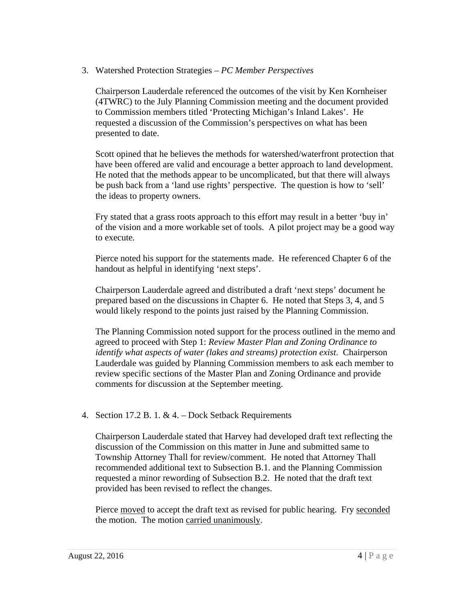3. Watershed Protection Strategies – *PC Member Perspectives*

Chairperson Lauderdale referenced the outcomes of the visit by Ken Kornheiser (4TWRC) to the July Planning Commission meeting and the document provided to Commission members titled 'Protecting Michigan's Inland Lakes'. He requested a discussion of the Commission's perspectives on what has been presented to date.

Scott opined that he believes the methods for watershed/waterfront protection that have been offered are valid and encourage a better approach to land development. He noted that the methods appear to be uncomplicated, but that there will always be push back from a 'land use rights' perspective. The question is how to 'sell' the ideas to property owners.

Fry stated that a grass roots approach to this effort may result in a better 'buy in' of the vision and a more workable set of tools. A pilot project may be a good way to execute.

Pierce noted his support for the statements made. He referenced Chapter 6 of the handout as helpful in identifying 'next steps'.

Chairperson Lauderdale agreed and distributed a draft 'next steps' document he prepared based on the discussions in Chapter 6. He noted that Steps 3, 4, and 5 would likely respond to the points just raised by the Planning Commission.

The Planning Commission noted support for the process outlined in the memo and agreed to proceed with Step 1: *Review Master Plan and Zoning Ordinance to identify what aspects of water (lakes and streams) protection exist*. Chairperson Lauderdale was guided by Planning Commission members to ask each member to review specific sections of the Master Plan and Zoning Ordinance and provide comments for discussion at the September meeting.

4. Section 17.2 B. 1. & 4. – Dock Setback Requirements

Chairperson Lauderdale stated that Harvey had developed draft text reflecting the discussion of the Commission on this matter in June and submitted same to Township Attorney Thall for review/comment. He noted that Attorney Thall recommended additional text to Subsection B.1. and the Planning Commission requested a minor rewording of Subsection B.2. He noted that the draft text provided has been revised to reflect the changes.

Pierce moved to accept the draft text as revised for public hearing. Fry seconded the motion. The motion carried unanimously.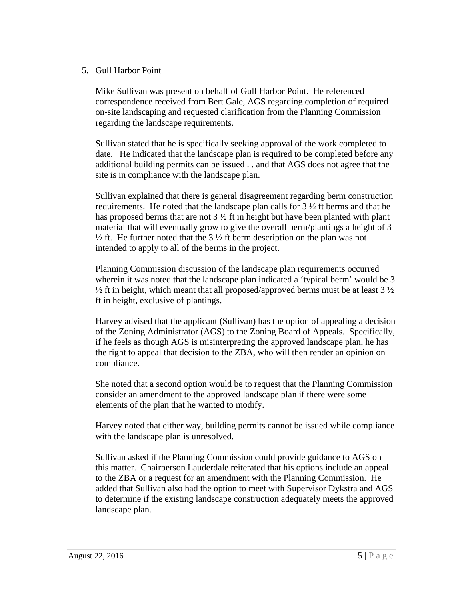# 5. Gull Harbor Point

Mike Sullivan was present on behalf of Gull Harbor Point. He referenced correspondence received from Bert Gale, AGS regarding completion of required on-site landscaping and requested clarification from the Planning Commission regarding the landscape requirements.

Sullivan stated that he is specifically seeking approval of the work completed to date. He indicated that the landscape plan is required to be completed before any additional building permits can be issued . . and that AGS does not agree that the site is in compliance with the landscape plan.

Sullivan explained that there is general disagreement regarding berm construction requirements. He noted that the landscape plan calls for  $3\frac{1}{2}$  ft berms and that he has proposed berms that are not  $3\frac{1}{2}$  ft in height but have been planted with plant material that will eventually grow to give the overall berm/plantings a height of 3  $\frac{1}{2}$  ft. He further noted that the 3  $\frac{1}{2}$  ft berm description on the plan was not intended to apply to all of the berms in the project.

Planning Commission discussion of the landscape plan requirements occurred wherein it was noted that the landscape plan indicated a 'typical berm' would be 3  $\frac{1}{2}$  ft in height, which meant that all proposed/approved berms must be at least 3  $\frac{1}{2}$ ft in height, exclusive of plantings.

Harvey advised that the applicant (Sullivan) has the option of appealing a decision of the Zoning Administrator (AGS) to the Zoning Board of Appeals. Specifically, if he feels as though AGS is misinterpreting the approved landscape plan, he has the right to appeal that decision to the ZBA, who will then render an opinion on compliance.

She noted that a second option would be to request that the Planning Commission consider an amendment to the approved landscape plan if there were some elements of the plan that he wanted to modify.

Harvey noted that either way, building permits cannot be issued while compliance with the landscape plan is unresolved.

Sullivan asked if the Planning Commission could provide guidance to AGS on this matter. Chairperson Lauderdale reiterated that his options include an appeal to the ZBA or a request for an amendment with the Planning Commission. He added that Sullivan also had the option to meet with Supervisor Dykstra and AGS to determine if the existing landscape construction adequately meets the approved landscape plan.